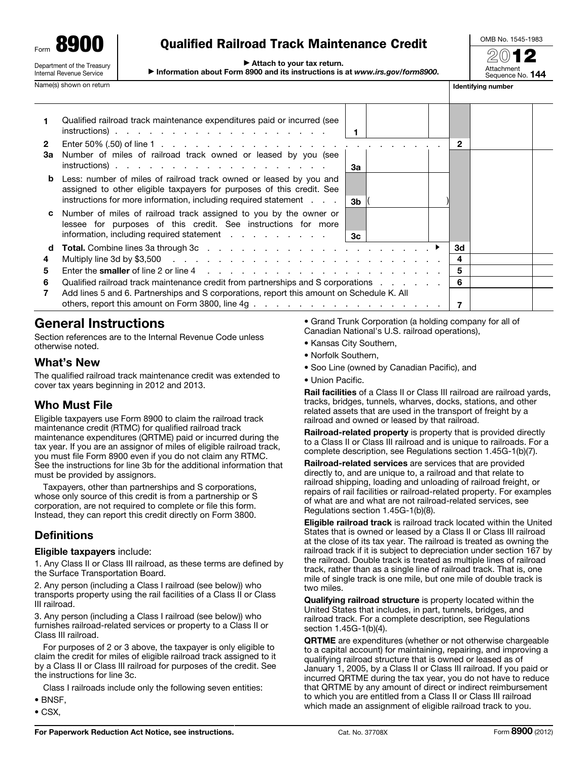Form 8900 Department of the Treasury Internal Revenue Service

# Name(s) shown on return in the state of the state of the state of the state of the state of the state of the state of the state of the state of the state of the state of the state of the state of the state of the state of

# Qualified Railroad Track Maintenance Credit

▶ Attach to your tax return.

▶ Information about Form 8900 and its instructions is at *www.irs.gov/form8900*.



|                    | Qualified railroad track maintenance expenditures paid or incurred (see<br>$instructions)$ .                                                                                                                            | 1              |  |              |  |
|--------------------|-------------------------------------------------------------------------------------------------------------------------------------------------------------------------------------------------------------------------|----------------|--|--------------|--|
| $\mathbf{2}$<br>За | Enter 50% (.50) of line 1 $\ldots$ $\ldots$ $\ldots$ $\ldots$ $\ldots$ $\ldots$ $\ldots$ $\ldots$ $\ldots$ $\ldots$ $\ldots$<br>Number of miles of railroad track owned or leased by you (see<br>$instructions)$ .      | За             |  | $\mathbf{2}$ |  |
|                    | <b>b</b> Less: number of miles of railroad track owned or leased by you and<br>assigned to other eligible taxpayers for purposes of this credit. See<br>instructions for more information, including required statement | 3b             |  |              |  |
|                    | Number of miles of railroad track assigned to you by the owner or<br>lessee for purposes of this credit. See instructions for more<br>information, including required statement                                         | 3 <sub>c</sub> |  |              |  |
| d                  |                                                                                                                                                                                                                         |                |  | 3d           |  |
| 4                  |                                                                                                                                                                                                                         |                |  | 4            |  |
| 5                  |                                                                                                                                                                                                                         |                |  | 5            |  |
| 6                  | Qualified railroad track maintenance credit from partnerships and S corporations exceptional contains the contr                                                                                                         |                |  | 6            |  |
| 7                  | Add lines 5 and 6. Partnerships and S corporations, report this amount on Schedule K. All                                                                                                                               |                |  |              |  |

## General Instructions

Section references are to the Internal Revenue Code unless otherwise noted.

### What's New

The qualified railroad track maintenance credit was extended to cover tax years beginning in 2012 and 2013.

## Who Must File

Eligible taxpayers use Form 8900 to claim the railroad track maintenance credit (RTMC) for qualified railroad track maintenance expenditures (QRTME) paid or incurred during the tax year. If you are an assignor of miles of eligible railroad track, you must file Form 8900 even if you do not claim any RTMC. See the instructions for line 3b for the additional information that must be provided by assignors.

Taxpayers, other than partnerships and S corporations, whose only source of this credit is from a partnership or S corporation, are not required to complete or file this form. Instead, they can report this credit directly on Form 3800.

## **Definitions**

#### Eligible taxpayers include:

1. Any Class II or Class III railroad, as these terms are defined by the Surface Transportation Board.

2. Any person (including a Class I railroad (see below)) who transports property using the rail facilities of a Class II or Class III railroad.

3. Any person (including a Class I railroad (see below)) who furnishes railroad-related services or property to a Class II or Class III railroad.

For purposes of 2 or 3 above, the taxpayer is only eligible to claim the credit for miles of eligible railroad track assigned to it by a Class II or Class III railroad for purposes of the credit. See the instructions for line 3c.

Class I railroads include only the following seven entities:

- BNSF,
- CSX,

• Grand Trunk Corporation (a holding company for all of Canadian National's U.S. railroad operations),

- Kansas City Southern,
- Norfolk Southern,
- Soo Line (owned by Canadian Pacific), and
- Union Pacific.

Rail facilities of a Class II or Class III railroad are railroad yards, tracks, bridges, tunnels, wharves, docks, stations, and other related assets that are used in the transport of freight by a railroad and owned or leased by that railroad.

Railroad-related property is property that is provided directly to a Class II or Class III railroad and is unique to railroads. For a complete description, see Regulations section 1.45G-1(b)(7).

Railroad-related services are services that are provided directly to, and are unique to, a railroad and that relate to railroad shipping, loading and unloading of railroad freight, or repairs of rail facilities or railroad-related property. For examples of what are and what are not railroad-related services, see Regulations section 1.45G-1(b)(8).

Eligible railroad track is railroad track located within the United States that is owned or leased by a Class II or Class III railroad at the close of its tax year. The railroad is treated as owning the railroad track if it is subject to depreciation under section 167 by the railroad. Double track is treated as multiple lines of railroad track, rather than as a single line of railroad track. That is, one mile of single track is one mile, but one mile of double track is two miles.

Qualifying railroad structure is property located within the United States that includes, in part, tunnels, bridges, and railroad track. For a complete description, see Regulations section 1.45G-1(b)(4).

QRTME are expenditures (whether or not otherwise chargeable to a capital account) for maintaining, repairing, and improving a qualifying railroad structure that is owned or leased as of January 1, 2005, by a Class II or Class III railroad. If you paid or incurred QRTME during the tax year, you do not have to reduce that QRTME by any amount of direct or indirect reimbursement to which you are entitled from a Class II or Class III railroad which made an assignment of eligible railroad track to you.